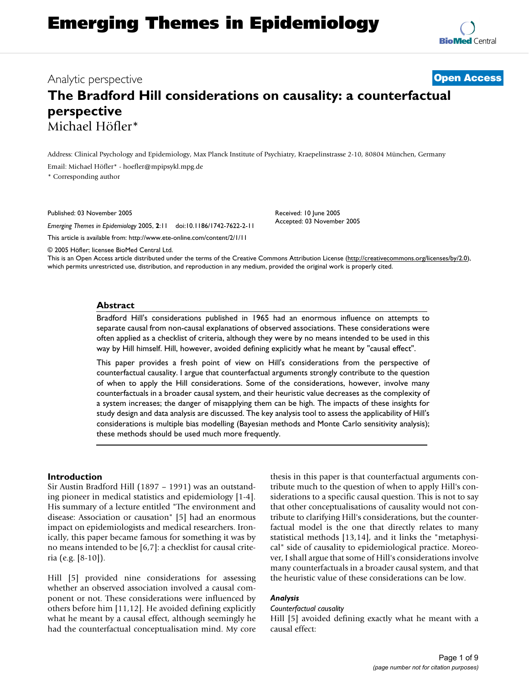# **Emerging Themes in Epidemiology**

**[BioMed](http://www.biomedcentral.com/)** Central

### Analytic perspective **[Open Access](http://www.biomedcentral.com/info/about/charter/)**

## **The Bradford Hill considerations on causality: a counterfactual perspective** Michael Höfler\*

Address: Clinical Psychology and Epidemiology, Max Planck Institute of Psychiatry, Kraepelinstrasse 2-10, 80804 München, Germany Email: Michael Höfler\* - hoefler@mpipsykl.mpg.de

\* Corresponding author

Published: 03 November 2005

*Emerging Themes in Epidemiology* 2005, **2**:11 doi:10.1186/1742-7622-2-11

[This article is available from: http://www.ete-online.com/content/2/1/11](http://www.ete-online.com/content/2/1/11)

© 2005 Höfler; licensee BioMed Central Ltd.

This is an Open Access article distributed under the terms of the Creative Commons Attribution License [\(http://creativecommons.org/licenses/by/2.0\)](http://creativecommons.org/licenses/by/2.0), which permits unrestricted use, distribution, and reproduction in any medium, provided the original work is properly cited.

Received: 10 June 2005 Accepted: 03 November 2005

#### **Abstract**

Bradford Hill's considerations published in 1965 had an enormous influence on attempts to separate causal from non-causal explanations of observed associations. These considerations were often applied as a checklist of criteria, although they were by no means intended to be used in this way by Hill himself. Hill, however, avoided defining explicitly what he meant by "causal effect".

This paper provides a fresh point of view on Hill's considerations from the perspective of counterfactual causality. I argue that counterfactual arguments strongly contribute to the question of when to apply the Hill considerations. Some of the considerations, however, involve many counterfactuals in a broader causal system, and their heuristic value decreases as the complexity of a system increases; the danger of misapplying them can be high. The impacts of these insights for study design and data analysis are discussed. The key analysis tool to assess the applicability of Hill's considerations is multiple bias modelling (Bayesian methods and Monte Carlo sensitivity analysis); these methods should be used much more frequently.

#### **Introduction**

Sir Austin Bradford Hill (1897 – 1991) was an outstanding pioneer in medical statistics and epidemiology [1-4]. His summary of a lecture entitled "The environment and disease: Association or causation" [5] had an enormous impact on epidemiologists and medical researchers. Ironically, this paper became famous for something it was by no means intended to be [6,7]: a checklist for causal criteria (e.g. [8-10]).

Hill [5] provided nine considerations for assessing whether an observed association involved a causal component or not. These considerations were influenced by others before him [11,12]. He avoided defining explicitly what he meant by a causal effect, although seemingly he had the counterfactual conceptualisation mind. My core thesis in this paper is that counterfactual arguments contribute much to the question of when to apply Hill's considerations to a specific causal question. This is not to say that other conceptualisations of causality would not contribute to clarifying Hill's considerations, but the counterfactual model is the one that directly relates to many statistical methods [13,14], and it links the "metaphysical" side of causality to epidemiological practice. Moreover, I shall argue that some of Hill's considerations involve many counterfactuals in a broader causal system, and that the heuristic value of these considerations can be low.

#### *Analysis*

#### *Counterfactual causality*

Hill [5] avoided defining exactly what he meant with a causal effect: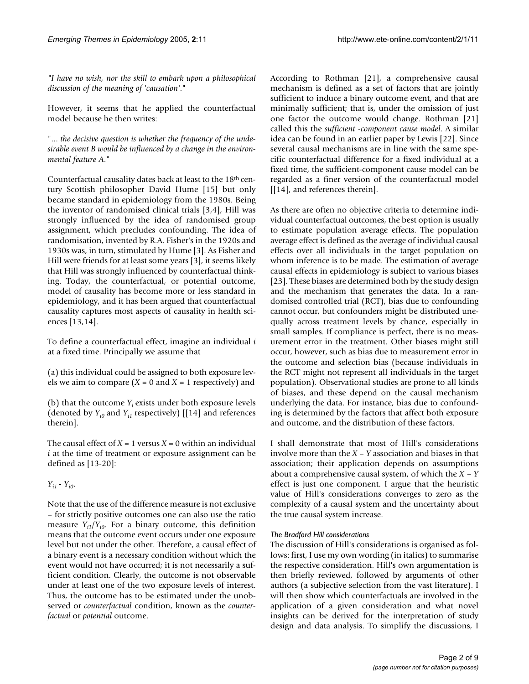*"I have no wish, nor the skill to embark upon a philosophical discussion of the meaning of 'causation'*."

However, it seems that he applied the counterfactual model because he then writes:

"... *the decisive question is whether the frequency of the undesirable event B would be influenced by a change in the environmental feature A*."

Counterfactual causality dates back at least to the 18<sup>th</sup> century Scottish philosopher David Hume [15] but only became standard in epidemiology from the 1980s. Being the inventor of randomised clinical trials [3,4], Hill was strongly influenced by the idea of randomised group assignment, which precludes confounding. The idea of randomisation, invented by R.A. Fisher's in the 1920s and 1930s was, in turn, stimulated by Hume [3]. As Fisher and Hill were friends for at least some years [3], it seems likely that Hill was strongly influenced by counterfactual thinking. Today, the counterfactual, or potential outcome, model of causality has become more or less standard in epidemiology, and it has been argued that counterfactual causality captures most aspects of causality in health sciences [13,14].

To define a counterfactual effect, imagine an individual *i* at a fixed time. Principally we assume that

(a) this individual could be assigned to both exposure levels we aim to compare  $(X = 0 \text{ and } X = 1 \text{ respectively})$  and

(b) that the outcome *Yi* exists under both exposure levels (denoted by  $Y_{i0}$  and  $Y_{i1}$  respectively) [[14] and references therein].

The causal effect of  $X = 1$  versus  $X = 0$  within an individual *i* at the time of treatment or exposure assignment can be defined as [13-20]:

$$
Y_{i1} \cdot Y_{i0}.
$$

Note that the use of the difference measure is not exclusive – for strictly positive outcomes one can also use the ratio measure  $Y_{i1}/Y_{i0}$ . For a binary outcome, this definition means that the outcome event occurs under one exposure level but not under the other. Therefore, a causal effect of a binary event is a necessary condition without which the event would not have occurred; it is not necessarily a sufficient condition. Clearly, the outcome is not observable under at least one of the two exposure levels of interest. Thus, the outcome has to be estimated under the unobserved or *counterfactual* condition, known as the *counterfactual* or *potential* outcome.

According to Rothman [21], a comprehensive causal mechanism is defined as a set of factors that are jointly sufficient to induce a binary outcome event, and that are minimally sufficient; that is, under the omission of just one factor the outcome would change. Rothman [21] called this the *sufficient -component cause model*. A similar idea can be found in an earlier paper by Lewis [22]. Since several causal mechanisms are in line with the same specific counterfactual difference for a fixed individual at a fixed time, the sufficient-component cause model can be regarded as a finer version of the counterfactual model [[14], and references therein].

As there are often no objective criteria to determine individual counterfactual outcomes, the best option is usually to estimate population average effects. The population average effect is defined as the average of individual causal effects over all individuals in the target population on whom inference is to be made. The estimation of average causal effects in epidemiology is subject to various biases [23]. These biases are determined both by the study design and the mechanism that generates the data. In a randomised controlled trial (RCT), bias due to confounding cannot occur, but confounders might be distributed unequally across treatment levels by chance, especially in small samples. If compliance is perfect, there is no measurement error in the treatment. Other biases might still occur, however, such as bias due to measurement error in the outcome and selection bias (because individuals in the RCT might not represent all individuals in the target population). Observational studies are prone to all kinds of biases, and these depend on the causal mechanism underlying the data. For instance, bias due to confounding is determined by the factors that affect both exposure and outcome, and the distribution of these factors.

I shall demonstrate that most of Hill's considerations involve more than the *X* – *Y* association and biases in that association; their application depends on assumptions about a comprehensive causal system, of which the *X* – *Y* effect is just one component. I argue that the heuristic value of Hill's considerations converges to zero as the complexity of a causal system and the uncertainty about the true causal system increase.

#### *The Bradford Hill considerations*

The discussion of Hill's considerations is organised as follows: first, I use my own wording (in italics) to summarise the respective consideration. Hill's own argumentation is then briefly reviewed, followed by arguments of other authors (a subjective selection from the vast literature). I will then show which counterfactuals are involved in the application of a given consideration and what novel insights can be derived for the interpretation of study design and data analysis. To simplify the discussions, I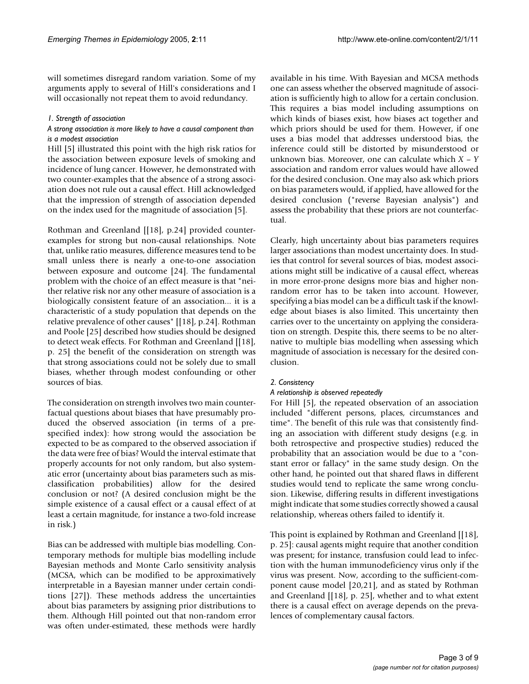will sometimes disregard random variation. Some of my arguments apply to several of Hill's considerations and I will occasionally not repeat them to avoid redundancy.

#### *1. Strength of association*

#### *A strong association is more likely to have a causal component than is a modest association*

Hill [5] illustrated this point with the high risk ratios for the association between exposure levels of smoking and incidence of lung cancer. However, he demonstrated with two counter-examples that the absence of a strong association does not rule out a causal effect. Hill acknowledged that the impression of strength of association depended on the index used for the magnitude of association [5].

Rothman and Greenland [[18], p.24] provided counterexamples for strong but non-causal relationships. Note that, unlike ratio measures, difference measures tend to be small unless there is nearly a one-to-one association between exposure and outcome [24]. The fundamental problem with the choice of an effect measure is that "neither relative risk nor any other measure of association is a biologically consistent feature of an association... it is a characteristic of a study population that depends on the relative prevalence of other causes" [[18], p.24]. Rothman and Poole [25] described how studies should be designed to detect weak effects. For Rothman and Greenland [[18], p. 25] the benefit of the consideration on strength was that strong associations could not be solely due to small biases, whether through modest confounding or other sources of bias.

The consideration on strength involves two main counterfactual questions about biases that have presumably produced the observed association (in terms of a prespecified index): how strong would the association be expected to be as compared to the observed association if the data were free of bias? Would the interval estimate that properly accounts for not only random, but also systematic error (uncertainty about bias parameters such as misclassification probabilities) allow for the desired conclusion or not? (A desired conclusion might be the simple existence of a causal effect or a causal effect of at least a certain magnitude, for instance a two-fold increase in risk.)

Bias can be addressed with multiple bias modelling. Contemporary methods for multiple bias modelling include Bayesian methods and Monte Carlo sensitivity analysis (MCSA, which can be modified to be approximatively interpretable in a Bayesian manner under certain conditions [27]). These methods address the uncertainties about bias parameters by assigning prior distributions to them. Although Hill pointed out that non-random error was often under-estimated, these methods were hardly available in his time. With Bayesian and MCSA methods one can assess whether the observed magnitude of association is sufficiently high to allow for a certain conclusion. This requires a bias model including assumptions on which kinds of biases exist, how biases act together and which priors should be used for them. However, if one uses a bias model that addresses understood bias, the inference could still be distorted by misunderstood or unknown bias. Moreover, one can calculate which *X* – *Y* association and random error values would have allowed for the desired conclusion. One may also ask which priors on bias parameters would, if applied, have allowed for the desired conclusion ("reverse Bayesian analysis") and assess the probability that these priors are not counterfactual.

Clearly, high uncertainty about bias parameters requires larger associations than modest uncertainty does. In studies that control for several sources of bias, modest associations might still be indicative of a causal effect, whereas in more error-prone designs more bias and higher nonrandom error has to be taken into account. However, specifying a bias model can be a difficult task if the knowledge about biases is also limited. This uncertainty then carries over to the uncertainty on applying the consideration on strength. Despite this, there seems to be no alternative to multiple bias modelling when assessing which magnitude of association is necessary for the desired conclusion.

#### *2. Consistency*

#### *A relationship is observed repeatedly*

For Hill [5], the repeated observation of an association included "different persons, places, circumstances and time". The benefit of this rule was that consistently finding an association with different study designs (e.g. in both retrospective and prospective studies) reduced the probability that an association would be due to a "constant error or fallacy" in the same study design. On the other hand, he pointed out that shared flaws in different studies would tend to replicate the same wrong conclusion. Likewise, differing results in different investigations might indicate that some studies correctly showed a causal relationship, whereas others failed to identify it.

This point is explained by Rothman and Greenland [[18], p. 25]: causal agents might require that another condition was present; for instance, transfusion could lead to infection with the human immunodeficiency virus only if the virus was present. Now, according to the sufficient-component cause model [20,21], and as stated by Rothman and Greenland [[18], p. 25], whether and to what extent there is a causal effect on average depends on the prevalences of complementary causal factors.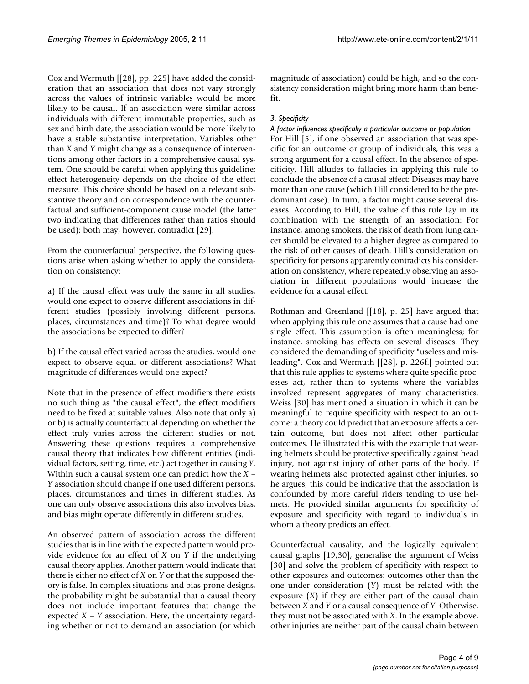Cox and Wermuth [[28], pp. 225] have added the consideration that an association that does not vary strongly across the values of intrinsic variables would be more likely to be causal. If an association were similar across individuals with different immutable properties, such as sex and birth date, the association would be more likely to have a stable substantive interpretation. Variables other than *X* and *Y* might change as a consequence of interventions among other factors in a comprehensive causal system. One should be careful when applying this guideline; effect heterogeneity depends on the choice of the effect measure. This choice should be based on a relevant substantive theory and on correspondence with the counterfactual and sufficient-component cause model (the latter two indicating that differences rather than ratios should be used); both may, however, contradict [29].

From the counterfactual perspective, the following questions arise when asking whether to apply the consideration on consistency:

a) If the causal effect was truly the same in all studies, would one expect to observe different associations in different studies (possibly involving different persons, places, circumstances and time)? To what degree would the associations be expected to differ?

b) If the causal effect varied across the studies, would one expect to observe equal or different associations? What magnitude of differences would one expect?

Note that in the presence of effect modifiers there exists no such thing as "the causal effect", the effect modifiers need to be fixed at suitable values. Also note that only a) or b) is actually counterfactual depending on whether the effect truly varies across the different studies or not. Answering these questions requires a comprehensive causal theory that indicates how different entities (individual factors, setting, time, etc.) act together in causing *Y*. Within such a causal system one can predict how the *X* – *Y* association should change if one used different persons, places, circumstances and times in different studies. As one can only observe associations this also involves bias, and bias might operate differently in different studies.

An observed pattern of association across the different studies that is in line with the expected pattern would provide evidence for an effect of *X* on *Y* if the underlying causal theory applies. Another pattern would indicate that there is either no effect of *X* on *Y* or that the supposed theory is false. In complex situations and bias-prone designs, the probability might be substantial that a causal theory does not include important features that change the expected *X* – *Y* association. Here, the uncertainty regarding whether or not to demand an association (or which

magnitude of association) could be high, and so the consistency consideration might bring more harm than benefit.

#### *3. Specificity*

*A factor influences specifically a particular outcome or population*

For Hill [5], if one observed an association that was specific for an outcome or group of individuals, this was a strong argument for a causal effect. In the absence of specificity, Hill alludes to fallacies in applying this rule to conclude the absence of a causal effect: Diseases may have more than one cause (which Hill considered to be the predominant case). In turn, a factor might cause several diseases. According to Hill, the value of this rule lay in its combination with the strength of an association: For instance, among smokers, the risk of death from lung cancer should be elevated to a higher degree as compared to the risk of other causes of death. Hill's consideration on specificity for persons apparently contradicts his consideration on consistency, where repeatedly observing an association in different populations would increase the evidence for a causal effect.

Rothman and Greenland [[18], p. 25] have argued that when applying this rule one assumes that a cause had one single effect. This assumption is often meaningless; for instance, smoking has effects on several diseases. They considered the demanding of specificity "useless and misleading". Cox and Wermuth [[28], p. 226f.] pointed out that this rule applies to systems where quite specific processes act, rather than to systems where the variables involved represent aggregates of many characteristics. Weiss [30] has mentioned a situation in which it can be meaningful to require specificity with respect to an outcome: a theory could predict that an exposure affects a certain outcome, but does not affect other particular outcomes. He illustrated this with the example that wearing helmets should be protective specifically against head injury, not against injury of other parts of the body. If wearing helmets also protected against other injuries, so he argues, this could be indicative that the association is confounded by more careful riders tending to use helmets. He provided similar arguments for specificity of exposure and specificity with regard to individuals in whom a theory predicts an effect.

Counterfactual causality, and the logically equivalent causal graphs [19,30], generalise the argument of Weiss [30] and solve the problem of specificity with respect to other exposures and outcomes: outcomes other than the one under consideration (*Y*) must be related with the exposure (*X*) if they are either part of the causal chain between *X* and *Y* or a causal consequence of *Y*. Otherwise, they must not be associated with *X*. In the example above, other injuries are neither part of the causal chain between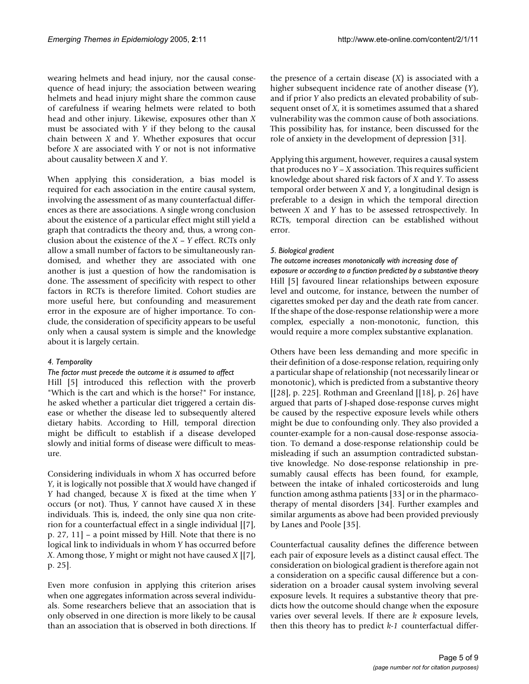wearing helmets and head injury, nor the causal consequence of head injury; the association between wearing helmets and head injury might share the common cause of carefulness if wearing helmets were related to both head and other injury. Likewise, exposures other than *X* must be associated with *Y* if they belong to the causal chain between *X* and *Y*. Whether exposures that occur before *X* are associated with *Y* or not is not informative about causality between *X* and *Y*.

When applying this consideration, a bias model is required for each association in the entire causal system, involving the assessment of as many counterfactual differences as there are associations. A single wrong conclusion about the existence of a particular effect might still yield a graph that contradicts the theory and, thus, a wrong conclusion about the existence of the *X* – *Y* effect. RCTs only allow a small number of factors to be simultaneously randomised, and whether they are associated with one another is just a question of how the randomisation is done. The assessment of specificity with respect to other factors in RCTs is therefore limited. Cohort studies are more useful here, but confounding and measurement error in the exposure are of higher importance. To conclude, the consideration of specificity appears to be useful only when a causal system is simple and the knowledge about it is largely certain.

#### *4. Temporality*

#### *The factor must precede the outcome it is assumed to affect*

Hill [5] introduced this reflection with the proverb "Which is the cart and which is the horse?" For instance, he asked whether a particular diet triggered a certain disease or whether the disease led to subsequently altered dietary habits. According to Hill, temporal direction might be difficult to establish if a disease developed slowly and initial forms of disease were difficult to measure.

Considering individuals in whom *X* has occurred before *Y*, it is logically not possible that *X* would have changed if *Y* had changed, because *X* is fixed at the time when *Y* occurs (or not). Thus, *Y* cannot have caused *X* in these individuals. This is, indeed, the only sine qua non criterion for a counterfactual effect in a single individual [[7], p. 27, 11] – a point missed by Hill. Note that there is no logical link to individuals in whom *Y* has occurred before *X*. Among those, *Y* might or might not have caused *X* [[7], p. 25].

Even more confusion in applying this criterion arises when one aggregates information across several individuals. Some researchers believe that an association that is only observed in one direction is more likely to be causal than an association that is observed in both directions. If the presence of a certain disease (*X*) is associated with a higher subsequent incidence rate of another disease (*Y*), and if prior *Y* also predicts an elevated probability of subsequent onset of *X*, it is sometimes assumed that a shared vulnerability was the common cause of both associations. This possibility has, for instance, been discussed for the role of anxiety in the development of depression [31].

Applying this argument, however, requires a causal system that produces no *Y* – *X* association. This requires sufficient knowledge about shared risk factors of *X* and *Y*. To assess temporal order between *X* and *Y*, a longitudinal design is preferable to a design in which the temporal direction between *X* and *Y* has to be assessed retrospectively. In RCTs, temporal direction can be established without error.

#### *5. Biological gradient*

*The outcome increases monotonically with increasing dose of exposure or according to a function predicted by a substantive theory* Hill [5] favoured linear relationships between exposure level and outcome, for instance, between the number of cigarettes smoked per day and the death rate from cancer. If the shape of the dose-response relationship were a more complex, especially a non-monotonic, function, this would require a more complex substantive explanation.

Others have been less demanding and more specific in their definition of a dose-response relation, requiring only a particular shape of relationship (not necessarily linear or monotonic), which is predicted from a substantive theory [[28], p. 225]. Rothman and Greenland [[18], p. 26] have argued that parts of J-shaped dose-response curves might be caused by the respective exposure levels while others might be due to confounding only. They also provided a counter-example for a non-causal dose-response association. To demand a dose-response relationship could be misleading if such an assumption contradicted substantive knowledge. No dose-response relationship in presumably causal effects has been found, for example, between the intake of inhaled corticosteroids and lung function among asthma patients [33] or in the pharmacotherapy of mental disorders [34]. Further examples and similar arguments as above had been provided previously by Lanes and Poole [35].

Counterfactual causality defines the difference between each pair of exposure levels as a distinct causal effect. The consideration on biological gradient is therefore again not a consideration on a specific causal difference but a consideration on a broader causal system involving several exposure levels. It requires a substantive theory that predicts how the outcome should change when the exposure varies over several levels. If there are *k* exposure levels, then this theory has to predict *k-1* counterfactual differ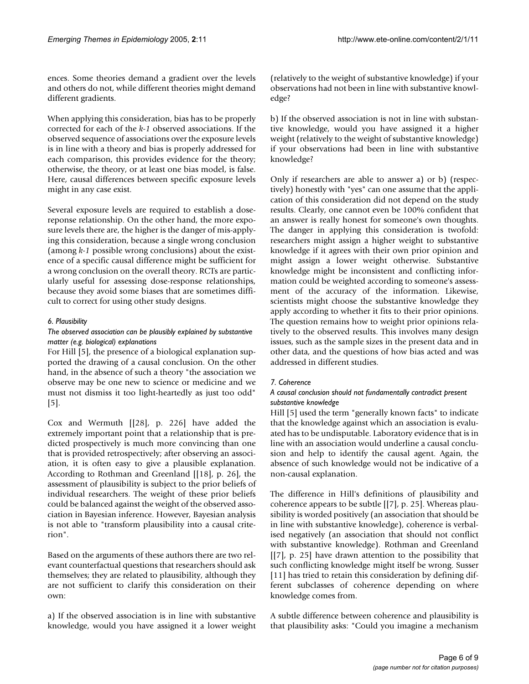ences. Some theories demand a gradient over the levels and others do not, while different theories might demand different gradients.

When applying this consideration, bias has to be properly corrected for each of the *k-1* observed associations. If the observed sequence of associations over the exposure levels is in line with a theory and bias is properly addressed for each comparison, this provides evidence for the theory; otherwise, the theory, or at least one bias model, is false. Here, causal differences between specific exposure levels might in any case exist.

Several exposure levels are required to establish a dosereponse relationship. On the other hand, the more exposure levels there are, the higher is the danger of mis-applying this consideration, because a single wrong conclusion (among *k-1* possible wrong conclusions) about the existence of a specific causal difference might be sufficient for a wrong conclusion on the overall theory. RCTs are particularly useful for assessing dose-response relationships, because they avoid some biases that are sometimes difficult to correct for using other study designs.

#### *6. Plausibility*

#### *The observed association can be plausibly explained by substantive matter (e.g. biological) explanations*

For Hill [5], the presence of a biological explanation supported the drawing of a causal conclusion. On the other hand, in the absence of such a theory "the association we observe may be one new to science or medicine and we must not dismiss it too light-heartedly as just too odd"  $[5]$ .

Cox and Wermuth [[28], p. 226] have added the extremely important point that a relationship that is predicted prospectively is much more convincing than one that is provided retrospectively; after observing an association, it is often easy to give a plausible explanation. According to Rothman and Greenland [[18], p. 26], the assessment of plausibility is subject to the prior beliefs of individual researchers. The weight of these prior beliefs could be balanced against the weight of the observed association in Bayesian inference. However, Bayesian analysis is not able to "transform plausibility into a causal criterion".

Based on the arguments of these authors there are two relevant counterfactual questions that researchers should ask themselves; they are related to plausibility, although they are not sufficient to clarify this consideration on their own:

a) If the observed association is in line with substantive knowledge, would you have assigned it a lower weight (relatively to the weight of substantive knowledge) if your observations had not been in line with substantive knowledge?

b) If the observed association is not in line with substantive knowledge, would you have assigned it a higher weight (relatively to the weight of substantive knowledge) if your observations had been in line with substantive knowledge?

Only if researchers are able to answer a) or b) (respectively) honestly with "yes" can one assume that the application of this consideration did not depend on the study results. Clearly, one cannot even be 100% confident that an answer is really honest for someone's own thoughts. The danger in applying this consideration is twofold: researchers might assign a higher weight to substantive knowledge if it agrees with their own prior opinion and might assign a lower weight otherwise. Substantive knowledge might be inconsistent and conflicting information could be weighted according to someone's assessment of the accuracy of the information. Likewise, scientists might choose the substantive knowledge they apply according to whether it fits to their prior opinions. The question remains how to weight prior opinions relatively to the observed results. This involves many design issues, such as the sample sizes in the present data and in other data, and the questions of how bias acted and was addressed in different studies.

#### *7. Coherence*

#### *A causal conclusion should not fundamentally contradict present substantive knowledge*

Hill [5] used the term "generally known facts" to indicate that the knowledge against which an association is evaluated has to be undisputable. Laboratory evidence that is in line with an association would underline a causal conclusion and help to identify the causal agent. Again, the absence of such knowledge would not be indicative of a non-causal explanation.

The difference in Hill's definitions of plausibility and coherence appears to be subtle [[7], p. 25]. Whereas plausibility is worded positively (an association that should be in line with substantive knowledge), coherence is verbalised negatively (an association that should not conflict with substantive knowledge). Rothman and Greenland [[7], p. 25] have drawn attention to the possibility that such conflicting knowledge might itself be wrong. Susser [11] has tried to retain this consideration by defining different subclasses of coherence depending on where knowledge comes from.

A subtle difference between coherence and plausibility is that plausibility asks: "Could you imagine a mechanism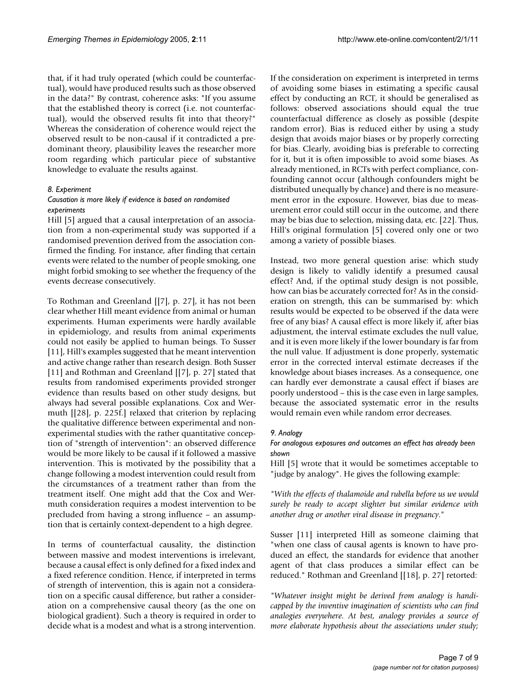that, if it had truly operated (which could be counterfactual), would have produced results such as those observed in the data?" By contrast, coherence asks: "If you assume that the established theory is correct (i.e. not counterfactual), would the observed results fit into that theory?" Whereas the consideration of coherence would reject the observed result to be non-causal if it contradicted a predominant theory, plausibility leaves the researcher more room regarding which particular piece of substantive knowledge to evaluate the results against.

#### *8. Experiment*

#### *Causation is more likely if evidence is based on randomised experiments*

Hill [5] argued that a causal interpretation of an association from a non-experimental study was supported if a randomised prevention derived from the association confirmed the finding. For instance, after finding that certain events were related to the number of people smoking, one might forbid smoking to see whether the frequency of the events decrease consecutively.

To Rothman and Greenland [[7], p. 27], it has not been clear whether Hill meant evidence from animal or human experiments. Human experiments were hardly available in epidemiology, and results from animal experiments could not easily be applied to human beings. To Susser [11], Hill's examples suggested that he meant intervention and active change rather than research design. Both Susser [11] and Rothman and Greenland [[7], p. 27] stated that results from randomised experiments provided stronger evidence than results based on other study designs, but always had several possible explanations. Cox and Wermuth [[28], p. 225f.] relaxed that criterion by replacing the qualitative difference between experimental and nonexperimental studies with the rather quantitative conception of "strength of intervention": an observed difference would be more likely to be causal if it followed a massive intervention. This is motivated by the possibility that a change following a modest intervention could result from the circumstances of a treatment rather than from the treatment itself. One might add that the Cox and Wermuth consideration requires a modest intervention to be precluded from having a strong influence – an assumption that is certainly context-dependent to a high degree.

In terms of counterfactual causality, the distinction between massive and modest interventions is irrelevant, because a causal effect is only defined for a fixed index and a fixed reference condition. Hence, if interpreted in terms of strength of intervention, this is again not a consideration on a specific causal difference, but rather a consideration on a comprehensive causal theory (as the one on biological gradient). Such a theory is required in order to decide what is a modest and what is a strong intervention.

If the consideration on experiment is interpreted in terms of avoiding some biases in estimating a specific causal effect by conducting an RCT, it should be generalised as follows: observed associations should equal the true counterfactual difference as closely as possible (despite random error). Bias is reduced either by using a study design that avoids major biases or by properly correcting for bias. Clearly, avoiding bias is preferable to correcting for it, but it is often impossible to avoid some biases. As already mentioned, in RCTs with perfect compliance, confounding cannot occur (although confounders might be distributed unequally by chance) and there is no measurement error in the exposure. However, bias due to measurement error could still occur in the outcome, and there may be bias due to selection, missing data, etc. [22]. Thus, Hill's original formulation [5] covered only one or two among a variety of possible biases.

Instead, two more general question arise: which study design is likely to validly identify a presumed causal effect? And, if the optimal study design is not possible, how can bias be accurately corrected for? As in the consideration on strength, this can be summarised by: which results would be expected to be observed if the data were free of any bias? A causal effect is more likely if, after bias adjustment, the interval estimate excludes the null value, and it is even more likely if the lower boundary is far from the null value. If adjustment is done properly, systematic error in the corrected interval estimate decreases if the knowledge about biases increases. As a consequence, one can hardly ever demonstrate a causal effect if biases are poorly understood – this is the case even in large samples, because the associated systematic error in the results would remain even while random error decreases.

#### *9. Analogy*

#### *For analogous exposures and outcomes an effect has already been shown*

Hill [5] wrote that it would be sometimes acceptable to "judge by analogy". He gives the following example:

*"With the effects of thalamoide and rubella before us we would surely be ready to accept slighter but similar evidence with another drug or another viral disease in pregnancy*."

Susser [11] interpreted Hill as someone claiming that "when one class of causal agents is known to have produced an effect, the standards for evidence that another agent of that class produces a similar effect can be reduced." Rothman and Greenland [[18], p. 27] retorted:

*"Whatever insight might be derived from analogy is handicapped by the inventive imagination of scientists who can find analogies everywhere. At best, analogy provides a source of more elaborate hypothesis about the associations under study;*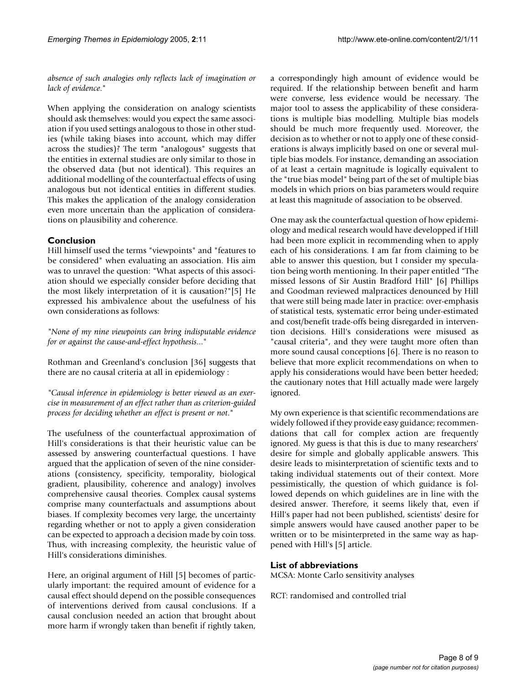*absence of such analogies only reflects lack of imagination or lack of evidence*."

When applying the consideration on analogy scientists should ask themselves: would you expect the same association if you used settings analogous to those in other studies (while taking biases into account, which may differ across the studies)? The term "analogous" suggests that the entities in external studies are only similar to those in the observed data (but not identical). This requires an additional modelling of the counterfactual effects of using analogous but not identical entities in different studies. This makes the application of the analogy consideration even more uncertain than the application of considerations on plausibility and coherence.

#### **Conclusion**

Hill himself used the terms "viewpoints" and "features to be considered" when evaluating an association. His aim was to unravel the question: "What aspects of this association should we especially consider before deciding that the most likely interpretation of it is causation?"[5] He expressed his ambivalence about the usefulness of his own considerations as follows:

*"None of my nine viewpoints can bring indisputable evidence for or against the cause-and-effect hypothesis*..."

Rothman and Greenland's conclusion [36] suggests that there are no causal criteria at all in epidemiology :

*"Causal inference in epidemiology is better viewed as an exercise in measurement of an effect rather than as criterion-guided process for deciding whether an effect is present or not*."

The usefulness of the counterfactual approximation of Hill's considerations is that their heuristic value can be assessed by answering counterfactual questions. I have argued that the application of seven of the nine considerations (consistency, specificity, temporality, biological gradient, plausibility, coherence and analogy) involves comprehensive causal theories. Complex causal systems comprise many counterfactuals and assumptions about biases. If complexity becomes very large, the uncertainty regarding whether or not to apply a given consideration can be expected to approach a decision made by coin toss. Thus, with increasing complexity, the heuristic value of Hill's considerations diminishes.

Here, an original argument of Hill [5] becomes of particularly important: the required amount of evidence for a causal effect should depend on the possible consequences of interventions derived from causal conclusions. If a causal conclusion needed an action that brought about more harm if wrongly taken than benefit if rightly taken,

a correspondingly high amount of evidence would be required. If the relationship between benefit and harm were converse, less evidence would be necessary. The major tool to assess the applicability of these considerations is multiple bias modelling. Multiple bias models should be much more frequently used. Moreover, the decision as to whether or not to apply one of these considerations is always implicitly based on one or several multiple bias models. For instance, demanding an association of at least a certain magnitude is logically equivalent to the "true bias model" being part of the set of multiple bias models in which priors on bias parameters would require at least this magnitude of association to be observed.

One may ask the counterfactual question of how epidemiology and medical research would have developped if Hill had been more explicit in recommending when to apply each of his considerations. I am far from claiming to be able to answer this question, but I consider my speculation being worth mentioning. In their paper entitled "The missed lessons of Sir Austin Bradford Hill" [6] Phillips and Goodman reviewed malpractices denounced by Hill that were still being made later in practice: over-emphasis of statistical tests, systematic error being under-estimated and cost/benefit trade-offs being disregarded in intervention decisions. Hill's considerations were misused as "causal criteria", and they were taught more often than more sound causal conceptions [6]. There is no reason to believe that more explicit recommendations on when to apply his considerations would have been better heeded; the cautionary notes that Hill actually made were largely ignored.

My own experience is that scientific recommendations are widely followed if they provide easy guidance; recommendations that call for complex action are frequently ignored. My guess is that this is due to many researchers' desire for simple and globally applicable answers. This desire leads to misinterpretation of scientific texts and to taking individual statements out of their context. More pessimistically, the question of which guidance is followed depends on which guidelines are in line with the desired answer. Therefore, it seems likely that, even if Hill's paper had not been published, scientists' desire for simple answers would have caused another paper to be written or to be misinterpreted in the same way as happened with Hill's [5] article.

#### **List of abbreviations**

MCSA: Monte Carlo sensitivity analyses

RCT: randomised and controlled trial